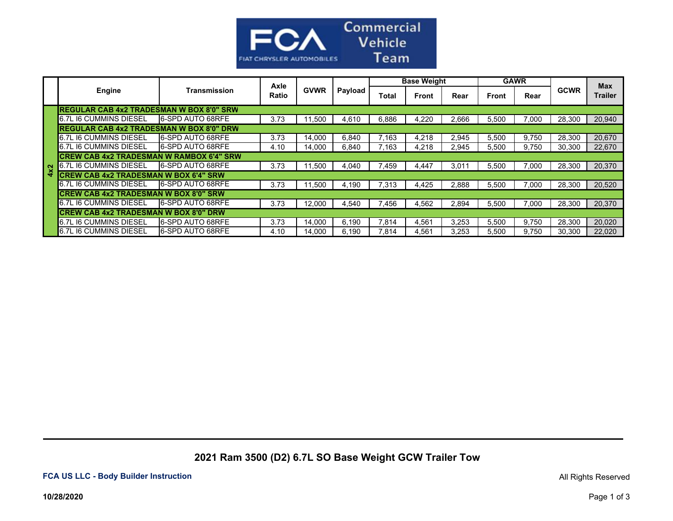

|  |                                           | Transmission             | Axle<br>Ratio | <b>GVWR</b> | Payload | <b>Base Weight</b> |              |       | <b>GAWR</b> |       |             | <b>Max</b>     |
|--|-------------------------------------------|--------------------------|---------------|-------------|---------|--------------------|--------------|-------|-------------|-------|-------------|----------------|
|  | Engine                                    |                          |               |             |         | Total              | <b>Front</b> | Rear  | Front       | Rear  | <b>GCWR</b> | <b>Trailer</b> |
|  | IREGULAR CAB 4x2 TRADESMAN W BOX 8'0" SRW |                          |               |             |         |                    |              |       |             |       |             |                |
|  | 6.7L I6 CUMMINS DIESEL                    | <b>6-SPD AUTO 68RFE</b>  | 3.73          | 11,500      | 4,610   | 6,886              | 4,220        | 2,666 | 5,500       | 7,000 | 28,300      | 20,940         |
|  | IREGULAR CAB 4x2 TRADESMAN W BOX 8'0" DRW |                          |               |             |         |                    |              |       |             |       |             |                |
|  | 6.7L I6 CUMMINS DIESEL                    | <b>6-SPD AUTO 68RFE</b>  | 3.73          | 14,000      | 6.840   | 7.163              | 4,218        | 2,945 | 5,500       | 9,750 | 28,300      | 20,670         |
|  | 6.7L I6 CUMMINS DIESEL                    | <b>6-SPD AUTO 68RFE</b>  | 4.10          | 14,000      | 6,840   | 7.163              | 4,218        | 2,945 | 5,500       | 9.750 | 30,300      | 22,670         |
|  | ICREW CAB 4x2 TRADESMAN W RAMBOX 6'4" SRW |                          |               |             |         |                    |              |       |             |       |             |                |
|  | <b>6.7L I6 CUMMINS DIESEL</b>             | <b>16-SPD AUTO 68RFE</b> | 3.73          | 11.500      | 4.040   | .459               | 4.447        | 3,01  | 5,500       | 7.000 | 28,300      | 20,370         |
|  | ICREW CAB 4x2 TRADESMAN W BOX 6'4" SRW    |                          |               |             |         |                    |              |       |             |       |             |                |
|  | 6.7L I6 CUMMINS DIESEL                    | <b>16-SPD AUTO 68RFE</b> | 3.73          | 11,500      | 4,190   | $^{\prime}$ .313   | 4,425        | 2,888 | 5,500       | 7,000 | 28,300      | 20,520         |
|  | ICREW CAB 4x2 TRADESMAN W BOX 8'0" SRW    |                          |               |             |         |                    |              |       |             |       |             |                |
|  | <b>6.7L I6 CUMMINS DIESEL</b>             | <b>16-SPD AUTO 68RFE</b> | 3.73          | 12,000      | 4,540   | .456               | 4,562        | 2,894 | 5,500       | 7.000 | 28,300      | 20,370         |
|  | ICREW CAB 4x2 TRADESMAN W BOX 8'0" DRW    |                          |               |             |         |                    |              |       |             |       |             |                |
|  | 6.7L I6 CUMMINS DIESEL                    | <b>16-SPD AUTO 68RFE</b> | 3.73          | 14,000      | 6,190   | 7.814              | 4,561        | 3,253 | 5,500       | 9.750 | 28,300      | 20,020         |
|  | <b>6.7L I6 CUMMINS DIESEL</b>             | <b>6-SPD AUTO 68RFE</b>  | 4.10          | 14.000      | 6.190   | 7.814              | 4.561        | 3.253 | 5,500       | 9.750 | 30.300      | 22.020         |

 **2021 Ram 3500 (D2) 6.7L SO Base Weight GCW Trailer Tow**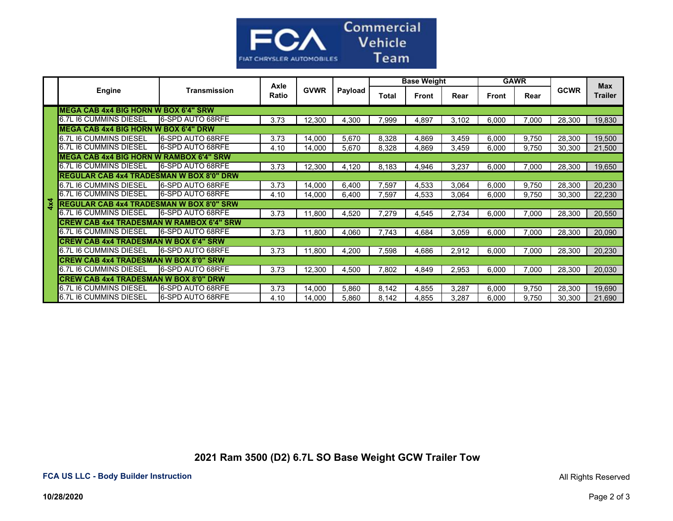

|            | <b>Engine</b>                                   | <b>Transmission</b>      | Axle<br>Ratio | <b>GVWR</b> | Payload | <b>Base Weight</b> |              |       | <b>GAWR</b> |       |             | <b>Max</b>     |
|------------|-------------------------------------------------|--------------------------|---------------|-------------|---------|--------------------|--------------|-------|-------------|-------|-------------|----------------|
|            |                                                 |                          |               |             |         | Total              | <b>Front</b> | Rear  | Front       | Rear  | <b>GCWR</b> | <b>Trailer</b> |
|            | IMEGA CAB 4x4 BIG HORN W BOX 6'4" SRW           |                          |               |             |         |                    |              |       |             |       |             |                |
|            | 6.7L I6 CUMMINS DIESEL                          | <b>6-SPD AUTO 68RFE</b>  | 3.73          | 12,300      | 4,300   | 7,999              | 4,897        | 3,102 | 6,000       | 7,000 | 28,300      | 19,830         |
|            | <b>IMEGA CAB 4x4 BIG HORN W BOX 6'4" DRW</b>    |                          |               |             |         |                    |              |       |             |       |             |                |
|            | 6.7L I6 CUMMINS DIESEL                          | 6-SPD AUTO 68RFE         | 3.73          | 14.000      | 5,670   | 8.328              | 4,869        | 3,459 | 6,000       | 9.750 | 28,300      | 19,500         |
|            | 6.7L I6 CUMMINS DIESEL                          | 6-SPD AUTO 68RFE         | 4.10          | 14,000      | 5,670   | 8,328              | 4,869        | 3,459 | 6,000       | 9.750 | 30,300      | 21,500         |
|            | <b>MEGA CAB 4x4 BIG HORN W RAMBOX 6'4" SRW</b>  |                          |               |             |         |                    |              |       |             |       |             |                |
|            | 6.7L I6 CUMMINS DIESEL                          | 6-SPD AUTO 68RFE         | 3.73          | 12,300      | 4,120   | 8,183              | 4,946        | 3,237 | 6,000       | 7,000 | 28,300      | 19,650         |
|            | <b>REGULAR CAB 4x4 TRADESMAN W BOX 8'0" DRW</b> |                          |               |             |         |                    |              |       |             |       |             |                |
|            | 6.7L I6 CUMMINS DIESEL                          | <b>6-SPD AUTO 68RFE</b>  | 3.73          | 14.000      | 6,400   | 7,597              | 4,533        | 3,064 | 6,000       | 9,750 | 28,300      | 20,230         |
|            | 6.7L I6 CUMMINS DIESEL                          | <b>16-SPD AUTO 68RFE</b> | 4.10          | 14,000      | 6,400   | 7,597              | 4,533        | 3,064 | 6,000       | 9,750 | 30,300      | 22,230         |
| $4\times4$ | <b>REGULAR CAB 4x4 TRADESMAN W BOX 8'0" SRW</b> |                          |               |             |         |                    |              |       |             |       |             |                |
|            | 6.7L I6 CUMMINS DIESEL                          | 6-SPD AUTO 68RFE         | 3.73          | 11,800      | 4,520   | 7,279              | 4,545        | 2,734 | 6,000       | 7,000 | 28,300      | 20,550         |
|            | <b>CREW CAB 4x4 TRADESMAN W RAMBOX 6'4" SRW</b> |                          |               |             |         |                    |              |       |             |       |             |                |
|            | 6.7L I6 CUMMINS DIESEL                          | <b>16-SPD AUTO 68RFE</b> | 3.73          | 11,800      | 4,060   | 7.743              | 4,684        | 3,059 | 6,000       | 7,000 | 28.300      | 20,090         |
|            | <b>CREW CAB 4x4 TRADESMAN W BOX 6'4" SRW</b>    |                          |               |             |         |                    |              |       |             |       |             |                |
|            | 6.7L I6 CUMMINS DIESEL                          | <b>6-SPD AUTO 68RFE</b>  | 3.73          | 11.800      | 4.200   | 7,598              | 4,686        | 2,912 | 6,000       | 7.000 | 28.300      | 20,230         |
|            | <b>CREW CAB 4x4 TRADESMAN W BOX 8'0" SRW</b>    |                          |               |             |         |                    |              |       |             |       |             |                |
|            | 6.7L I6 CUMMINS DIESEL                          | <b>6-SPD AUTO 68RFE</b>  | 3.73          | 12,300      | 4,500   | 7.802              | 4,849        | 2,953 | 6,000       | 7,000 | 28.300      | 20,030         |
|            | <b>CREW CAB 4x4 TRADESMAN W BOX 8'0" DRW</b>    |                          |               |             |         |                    |              |       |             |       |             |                |
|            | 6.7L I6 CUMMINS DIFSEL                          | <b>16-SPD AUTO 68RFE</b> | 3.73          | 14.000      | 5.860   | 8.142              | 4,855        | 3,287 | 6.000       | 9.750 | 28,300      | 19.690         |
|            | 6.7L I6 CUMMINS DIESEL                          | <b>16-SPD AUTO 68RFE</b> | 4.10          | 14,000      | 5,860   | 8,142              | 4,855        | 3,287 | 6,000       | 9,750 | 30,300      | 21,690         |

 **2021 Ram 3500 (D2) 6.7L SO Base Weight GCW Trailer Tow**

All Rights Reserved